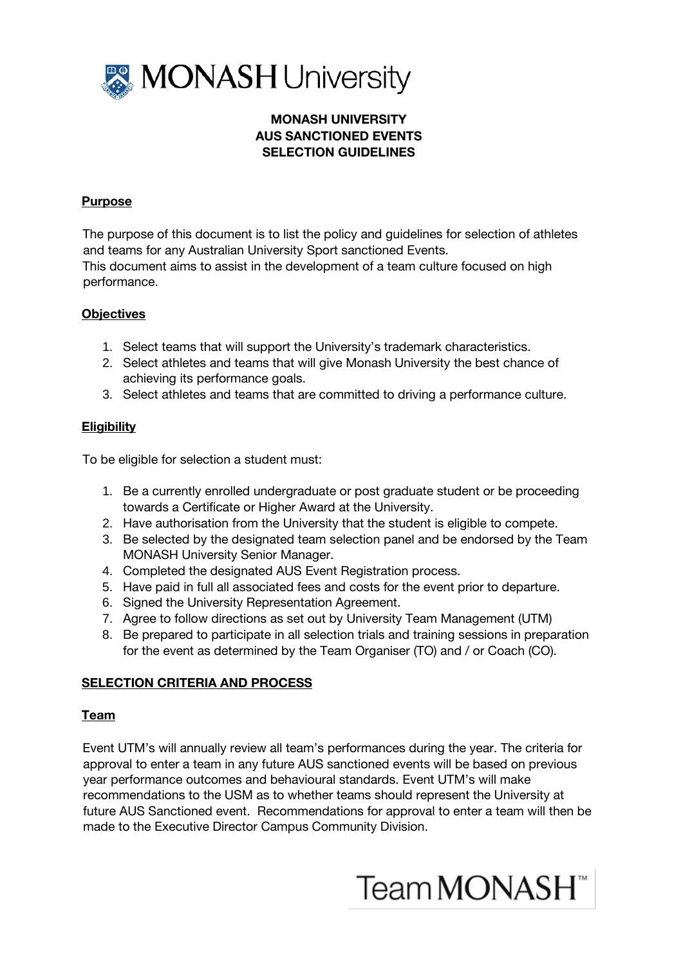

# MONASH UNIVERSITY AUS SANCTIONED EVENTS SELECTION GUIDELINES

## Purpose

The purpose of this document is to list the policy and guidelines for selection of athletes and teams for any Australian University Sport sanctioned Events.

This document aims to assist in the development of a team culture focused on high performance.

## **Objectives**

- 1. Select teams that will support the University's trademark characteristics.
- 2. Select athletes and teams that will give Monash University the best chance of achieving its performance goals.
- 3. Select athletes and teams that are committed to driving a performance culture.

# **Eligibility**

To be eligible for selection a student must:

- 1. Be a currently enrolled undergraduate or post graduate student or be proceeding towards a Certificate or Higher Award at the University.
- 2. Have authorisation from the University that the student is eligible to compete.
- 3. Be selected by the designated team selection panel and be endorsed by the Team MONASH University Senior Manager.
- 4. Completed the designated AUS Event Registration process.
- 5. Have paid in full all associated fees and costs for the event prior to departure.
- 6. Signed the University Representation Agreement.
- 7. Agree to follow directions as set out by University Team Management (UTM)
- 8. Be prepared to participate in all selection trials and training sessions in preparation for the event as determined by the Team Organiser (TO) and / or Coach (CO).

# SELECTION CRITERIA AND PROCESS

#### Team

Event UTM's will annually review all team's performances during the year. The criteria for approval to enter a team in any future AUS sanctioned events will be based on previous year performance outcomes and behavioural standards. Event UTM's will make recommendations to the USM as to whether teams should represent the University at future AUS Sanctioned event. Recommendations for approval to enter a team will then be made to the Executive Director Campus Community Division.

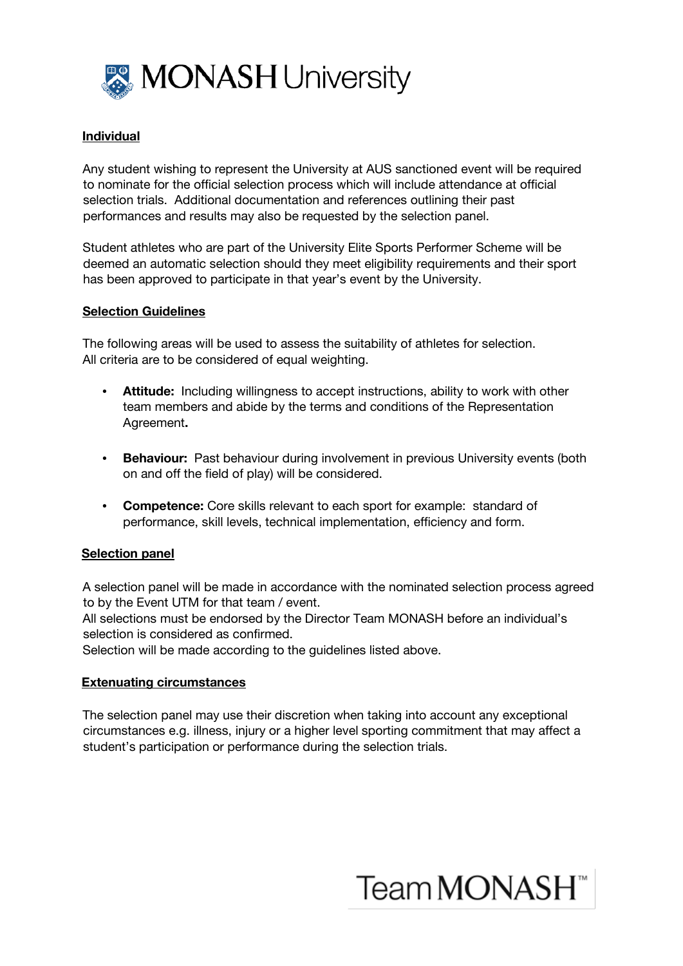

## Individual

Any student wishing to represent the University at AUS sanctioned event will be required to nominate for the official selection process which will include attendance at official selection trials. Additional documentation and references outlining their past performances and results may also be requested by the selection panel.

Student athletes who are part of the University Elite Sports Performer Scheme will be deemed an automatic selection should they meet eligibility requirements and their sport has been approved to participate in that year's event by the University.

#### Selection Guidelines

The following areas will be used to assess the suitability of athletes for selection. All criteria are to be considered of equal weighting.

- Attitude: Including willingness to accept instructions, ability to work with other team members and abide by the terms and conditions of the Representation Agreement.
- Behaviour: Past behaviour during involvement in previous University events (both on and off the field of play) will be considered.
- Competence: Core skills relevant to each sport for example: standard of performance, skill levels, technical implementation, efficiency and form.

#### Selection panel

A selection panel will be made in accordance with the nominated selection process agreed to by the Event UTM for that team / event.

All selections must be endorsed by the Director Team MONASH before an individual's selection is considered as confirmed.

Selection will be made according to the guidelines listed above.

#### Extenuating circumstances

The selection panel may use their discretion when taking into account any exceptional circumstances e.g. illness, injury or a higher level sporting commitment that may affect a student's participation or performance during the selection trials.

# Team MONASH<sup>™</sup>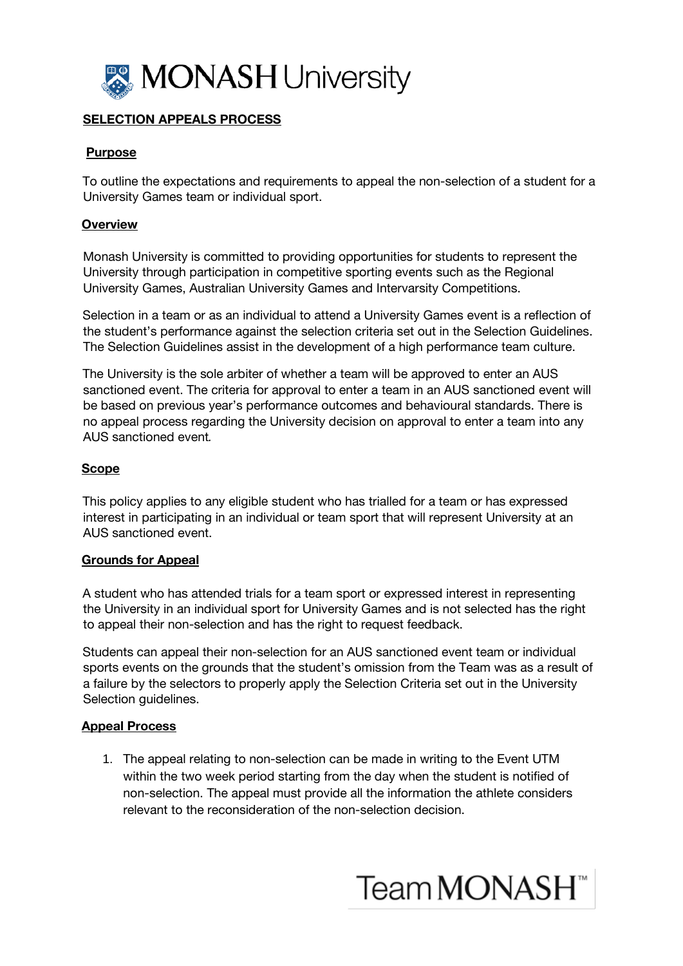

# SELECTION APPEALS PROCESS

# Purpose

To outline the expectations and requirements to appeal the non-selection of a student for a University Games team or individual sport.

## **Overview**

Monash University is committed to providing opportunities for students to represent the University through participation in competitive sporting events such as the Regional University Games, Australian University Games and Intervarsity Competitions.

Selection in a team or as an individual to attend a University Games event is a reflection of the student's performance against the selection criteria set out in the Selection Guidelines. The Selection Guidelines assist in the development of a high performance team culture.

The University is the sole arbiter of whether a team will be approved to enter an AUS sanctioned event. The criteria for approval to enter a team in an AUS sanctioned event will be based on previous year's performance outcomes and behavioural standards. There is no appeal process regarding the University decision on approval to enter a team into any AUS sanctioned event.

#### Scope

This policy applies to any eligible student who has trialled for a team or has expressed interest in participating in an individual or team sport that will represent University at an AUS sanctioned event.

#### Grounds for Appeal

A student who has attended trials for a team sport or expressed interest in representing the University in an individual sport for University Games and is not selected has the right to appeal their non-selection and has the right to request feedback.

Students can appeal their non-selection for an AUS sanctioned event team or individual sports events on the grounds that the student's omission from the Team was as a result of a failure by the selectors to properly apply the Selection Criteria set out in the University Selection guidelines.

#### Appeal Process

1. The appeal relating to non-selection can be made in writing to the Event UTM within the two week period starting from the day when the student is notified of non-selection. The appeal must provide all the information the athlete considers relevant to the reconsideration of the non-selection decision.